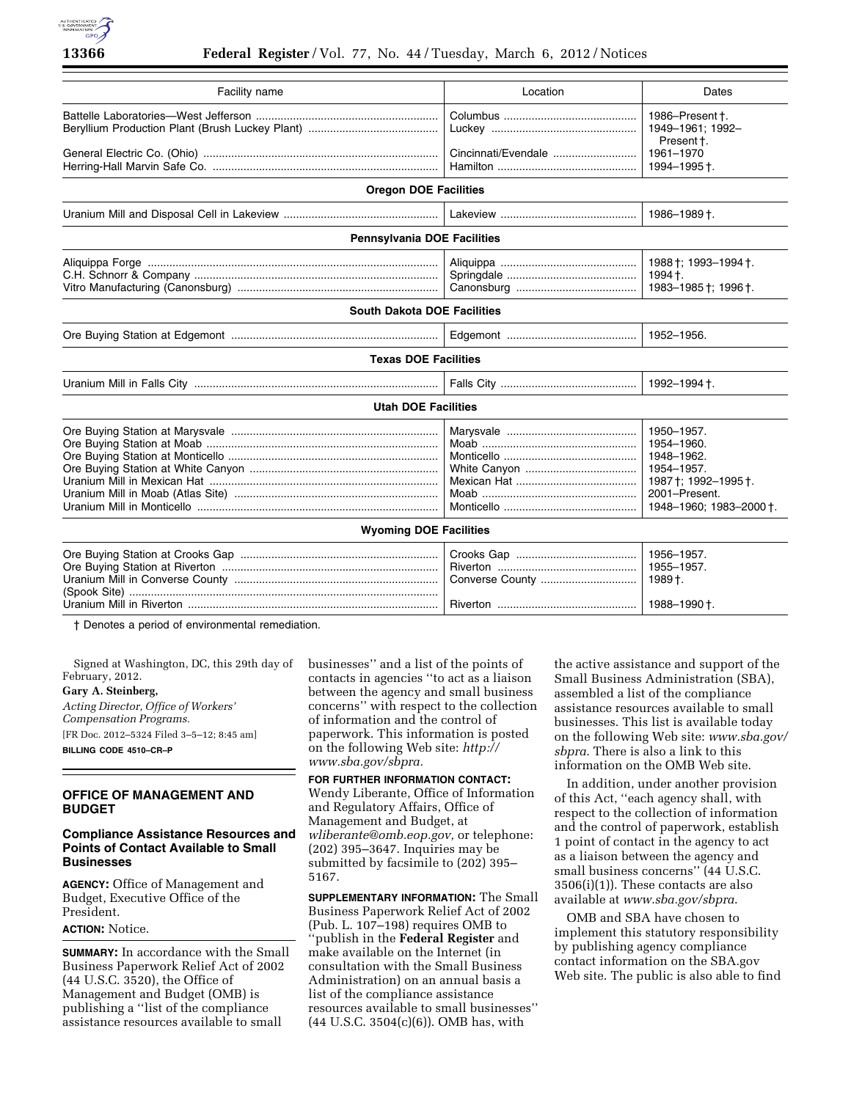

| Facility name                      | Location            | Dates                                                                                                                    |
|------------------------------------|---------------------|--------------------------------------------------------------------------------------------------------------------------|
|                                    | Cincinnati/Evendale | 1986-Present +.<br>1949-1961; 1992-<br>Present t.<br>1961-1970                                                           |
|                                    |                     | 1994-1995 +.                                                                                                             |
| <b>Oregon DOE Facilities</b>       |                     |                                                                                                                          |
|                                    |                     | 1986-1989†.                                                                                                              |
| <b>Pennsylvania DOE Facilities</b> |                     |                                                                                                                          |
|                                    |                     | 1988 †; 1993-1994 †.<br>1994 †.<br>1983-1985 †; 1996 †.                                                                  |
| <b>South Dakota DOE Facilities</b> |                     |                                                                                                                          |
|                                    |                     | 1952-1956.                                                                                                               |
| <b>Texas DOE Facilities</b>        |                     |                                                                                                                          |
|                                    |                     | 1992-1994 +.                                                                                                             |
| <b>Utah DOE Facilities</b>         |                     |                                                                                                                          |
|                                    |                     | 1950-1957.<br>1954-1960.<br>1948-1962.<br>1954-1957.<br>1987 †; 1992-1995 †.<br>2001-Present.<br>1948-1960; 1983-2000 +. |
| <b>Wyoming DOE Facilities</b>      |                     |                                                                                                                          |
|                                    |                     | 1956-1957.<br>1955-1957.<br>1989 +.<br>1988-1990+.                                                                       |
|                                    |                     |                                                                                                                          |

† Denotes a period of environmental remediation.

Signed at Washington, DC, this 29th day of February, 2012.

**Gary A. Steinberg,** 

*Acting Director, Office of Workers' Compensation Programs.*  [FR Doc. 2012–5324 Filed 3–5–12; 8:45 am] **BILLING CODE 4510–CR–P** 

# **OFFICE OF MANAGEMENT AND BUDGET**

# **Compliance Assistance Resources and Points of Contact Available to Small Businesses**

**AGENCY:** Office of Management and Budget, Executive Office of the President.

## **ACTION:** Notice.

**SUMMARY:** In accordance with the Small Business Paperwork Relief Act of 2002 (44 U.S.C. 3520), the Office of Management and Budget (OMB) is publishing a ''list of the compliance assistance resources available to small

businesses'' and a list of the points of contacts in agencies ''to act as a liaison between the agency and small business concerns'' with respect to the collection of information and the control of paperwork. This information is posted on the following Web site: *[http://](http://www.sba.gov/sbpra) [www.sba.gov/sbpra.](http://www.sba.gov/sbpra)* 

# **FOR FURTHER INFORMATION CONTACT:**

Wendy Liberante, Office of Information and Regulatory Affairs, Office of Management and Budget, at *wliberante@omb.eop.gov,* or telephone: (202) 395–3647. Inquiries may be submitted by facsimile to (202) 395– 5167.

**SUPPLEMENTARY INFORMATION:** The Small Business Paperwork Relief Act of 2002 (Pub. L. 107–198) requires OMB to 'publish in the **Federal Register** and make available on the Internet (in consultation with the Small Business Administration) on an annual basis a list of the compliance assistance resources available to small businesses'' (44 U.S.C. 3504(c)(6)). OMB has, with

the active assistance and support of the Small Business Administration (SBA), assembled a list of the compliance assistance resources available to small businesses. This list is available today on the following Web site: *www.sba.gov/ sbpra*. There is also a link to this information on the OMB Web site.

In addition, under another provision of this Act, ''each agency shall, with respect to the collection of information and the control of paperwork, establish 1 point of contact in the agency to act as a liaison between the agency and small business concerns'' (44 U.S.C. 3506(i)(1)). These contacts are also available at *www.sba.gov/sbpra*.

OMB and SBA have chosen to implement this statutory responsibility by publishing agency compliance contact information on the SBA.gov Web site. The public is also able to find